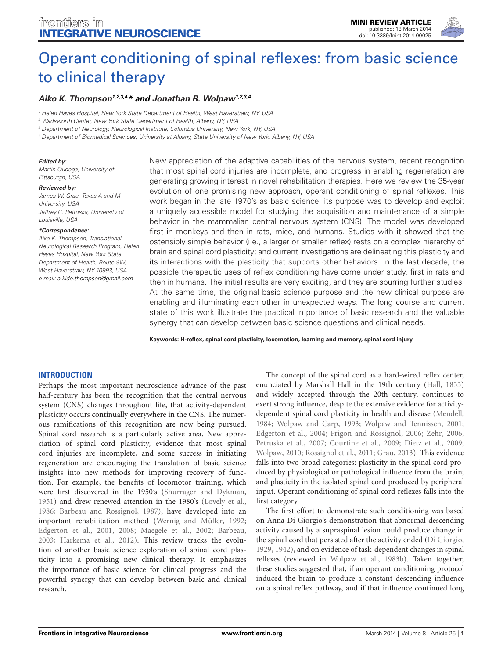

# [Operant conditioning of spinal reflexes: from basic science](http://www.frontiersin.org/Journal/10.3389/fnint.2014.00025/abstract) [to clinical therapy](http://www.frontiersin.org/Journal/10.3389/fnint.2014.00025/abstract)

## **[Aiko K. Thompson](http://www.frontiersin.org/people/u/101498)1,2,3,4\* and [Jonathan R. Wolpaw](http://www.frontiersin.org/people/u/3077)1,2,3,4**

<sup>1</sup> Helen Hayes Hospital, New York State Department of Health, West Haverstraw, NY, USA

<sup>2</sup> Wadsworth Center, New York State Department of Health, Albany, NY, USA

<sup>3</sup> Department of Neurology, Neurological Institute, Columbia University, New York, NY, USA

<sup>4</sup> Department of Biomedical Sciences, University at Albany, State University of New York, Albany, NY, USA

#### **Edited by:**

Martin Oudega, University of Pittsburgh, USA

#### **Reviewed by:**

James W. Grau, Texas A and M University, USA Jeffrey C. Petruska, University of Louisville, USA

#### **\*Correspondence:**

Aiko K. Thompson, Translational Neurological Research Program, Helen Hayes Hospital, New York State Department of Health, Route 9W West Haverstraw, NY 10993, USA e-mail: [a.kido.thompson@gmail.com](mailto:a.kido.thompson@gmail.com)

New appreciation of the adaptive capabilities of the nervous system, recent recognition that most spinal cord injuries are incomplete, and progress in enabling regeneration are generating growing interest in novel rehabilitation therapies. Here we review the 35-year evolution of one promising new approach, operant conditioning of spinal reflexes. This work began in the late 1970's as basic science; its purpose was to develop and exploit a uniquely accessible model for studying the acquisition and maintenance of a simple behavior in the mammalian central nervous system (CNS). The model was developed first in monkeys and then in rats, mice, and humans. Studies with it showed that the ostensibly simple behavior (i.e., a larger or smaller reflex) rests on a complex hierarchy of brain and spinal cord plasticity; and current investigations are delineating this plasticity and its interactions with the plasticity that supports other behaviors. In the last decade, the possible therapeutic uses of reflex conditioning have come under study, first in rats and then in humans. The initial results are very exciting, and they are spurring further studies. At the same time, the original basic science purpose and the new clinical purpose are enabling and illuminating each other in unexpected ways. The long course and current state of this work illustrate the practical importance of basic research and the valuable synergy that can develop between basic science questions and clinical needs.

**Keywords: H-reflex, spinal cord plasticity, locomotion, learning and memory, spinal cord injury**

#### **INTRODUCTION**

Perhaps the most important neuroscience advance of the past half-century has been the recognition that the central nervous system (CNS) changes throughout life, that activity-dependent plasticity occurs continually everywhere in the CNS. The numerous ramifications of this recognition are now being pursued. Spinal cord research is a particularly active area. New appreciation of spinal cord plasticity, evidence that most spinal cord injuries are incomplete, and some success in initiating regeneration are encouraging the translation of basic science insights into new methods for improving recovery of function. For example, the benefits of locomotor training, which were first discovered in the 1950's [\(Shurrager and Dykman,](#page-6-0) [1951\)](#page-6-0) and drew renewed attention in the 1980's [\(Lovely et al.,](#page-6-1) [1986;](#page-6-1) [Barbeau and Rossignol, 1987\)](#page-5-0), have developed into an important rehabilitation method [\(Wernig and Müller, 1992;](#page-6-2) [Edgerton et al., 2001,](#page-6-3) [2008;](#page-6-4) [Maegele et al., 2002;](#page-6-5) [Barbeau,](#page-5-1) [2003;](#page-5-1) [Harkema et al., 2012\)](#page-6-6). This review tracks the evolution of another basic science exploration of spinal cord plasticity into a promising new clinical therapy. It emphasizes the importance of basic science for clinical progress and the powerful synergy that can develop between basic and clinical research.

The concept of the spinal cord as a hard-wired reflex center, enunciated by Marshall Hall in the 19th century [\(Hall, 1833\)](#page-6-7) and widely accepted through the 20th century, continues to exert strong influence, despite the extensive evidence for activitydependent spinal cord plasticity in health and disease [\(Mendell,](#page-6-8) [1984;](#page-6-8) [Wolpaw and Carp, 1993;](#page-7-0) [Wolpaw and Tennissen, 2001;](#page-7-1) [Edgerton et al., 2004;](#page-6-9) [Frigon and Rossignol, 2006;](#page-6-10) [Zehr, 2006;](#page-7-2) [Petruska et al., 2007;](#page-6-11) [Courtine et al., 2009;](#page-6-12) [Dietz et al., 2009;](#page-6-13) [Wolpaw, 2010;](#page-7-3) [Rossignol et al., 2011;](#page-6-14) [Grau, 2013\)](#page-6-15). This evidence falls into two broad categories: plasticity in the spinal cord produced by physiological or pathological influence from the brain; and plasticity in the isolated spinal cord produced by peripheral input. Operant conditioning of spinal cord reflexes falls into the first category.

The first effort to demonstrate such conditioning was based on Anna Di Giorgio's demonstration that abnormal descending activity caused by a supraspinal lesion could produce change in the spinal cord that persisted after the activity ended [\(Di Giorgio,](#page-6-16) [1929,](#page-6-16) [1942\)](#page-6-17), and on evidence of task-dependent changes in spinal reflexes (reviewed in [Wolpaw et al., 1983b\)](#page-7-4). Taken together, these studies suggested that, if an operant conditioning protocol induced the brain to produce a constant descending influence on a spinal reflex pathway, and if that influence continued long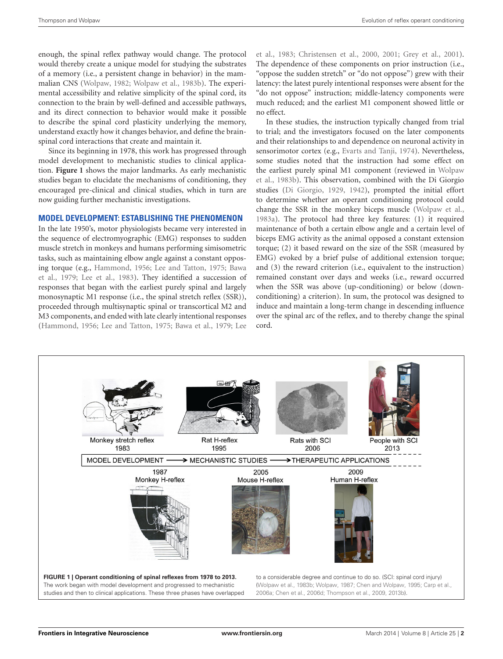enough, the spinal reflex pathway would change. The protocol would thereby create a unique model for studying the substrates of a memory (i.e., a persistent change in behavior) in the mammalian CNS [\(Wolpaw,](#page-7-5) [1982;](#page-7-5) [Wolpaw et al.,](#page-7-4) [1983b\)](#page-7-4). The experimental accessibility and relative simplicity of the spinal cord, its connection to the brain by well-defined and accessible pathways, and its direct connection to behavior would make it possible to describe the spinal cord plasticity underlying the memory, understand exactly how it changes behavior, and define the brainspinal cord interactions that create and maintain it.

Since its beginning in 1978, this work has progressed through model development to mechanistic studies to clinical application. **[Figure 1](#page-1-0)** shows the major landmarks. As early mechanistic studies began to elucidate the mechanisms of conditioning, they encouraged pre-clinical and clinical studies, which in turn are now guiding further mechanistic investigations.

## **MODEL DEVELOPMENT: ESTABLISHING THE PHENOMENON**

In the late 1950's, motor physiologists became very interested in the sequence of electromyographic (EMG) responses to sudden muscle stretch in monkeys and humans performing simisometric tasks, such as maintaining elbow angle against a constant opposing torque (e.g., [Hammond,](#page-6-18) [1956;](#page-6-18) [Lee and Tatton,](#page-6-19) [1975;](#page-6-19) [Bawa](#page-5-2) [et al.,](#page-5-2) [1979;](#page-5-2) [Lee et al.,](#page-6-20) [1983\)](#page-6-20). They identified a succession of responses that began with the earliest purely spinal and largely monosynaptic M1 response (i.e., the spinal stretch reflex (SSR)), proceeded through multisynaptic spinal or transcortical M2 and M3 components, and ended with late clearly intentional responses [\(Hammond,](#page-6-18) [1956;](#page-6-18) [Lee and Tatton,](#page-6-19) [1975;](#page-6-19) [Bawa et al.,](#page-5-2) [1979;](#page-5-2) [Lee](#page-6-20)

[et al.,](#page-6-20) [1983;](#page-6-20) [Christensen et al.,](#page-6-21) [2000,](#page-6-21) [2001;](#page-6-22) [Grey et al.,](#page-6-23) [2001\)](#page-6-23). The dependence of these components on prior instruction (i.e., "oppose the sudden stretch" or "do not oppose") grew with their latency: the latest purely intentional responses were absent for the "do not oppose" instruction; middle-latency components were much reduced; and the earliest M1 component showed little or no effect.

In these studies, the instruction typically changed from trial to trial; and the investigators focused on the later components and their relationships to and dependence on neuronal activity in sensorimotor cortex (e.g., [Evarts and Tanji,](#page-6-24) [1974\)](#page-6-24). Nevertheless, some studies noted that the instruction had some effect on the earliest purely spinal M1 component (reviewed in [Wolpaw](#page-7-4) [et al.,](#page-7-4) [1983b\)](#page-7-4). This observation, combined with the Di Giorgio studies [\(Di Giorgio,](#page-6-16) [1929,](#page-6-16) [1942\)](#page-6-17), prompted the initial effort to determine whether an operant conditioning protocol could change the SSR in the monkey biceps muscle [\(Wolpaw et al.,](#page-7-6) [1983a\)](#page-7-6). The protocol had three key features: (1) it required maintenance of both a certain elbow angle and a certain level of biceps EMG activity as the animal opposed a constant extension torque; (2) it based reward on the size of the SSR (measured by EMG) evoked by a brief pulse of additional extension torque; and (3) the reward criterion (i.e., equivalent to the instruction) remained constant over days and weeks (i.e., reward occurred when the SSR was above (up-conditioning) or below (downconditioning) a criterion). In sum, the protocol was designed to induce and maintain a long-term change in descending influence over the spinal arc of the reflex, and to thereby change the spinal cord.

<span id="page-1-0"></span>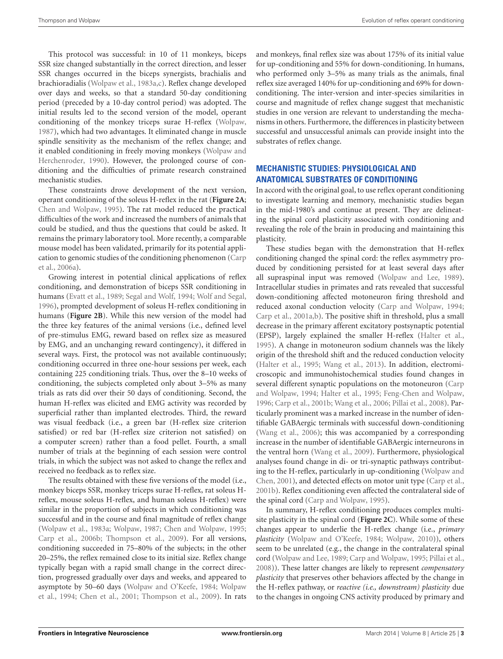This protocol was successful: in 10 of 11 monkeys, biceps SSR size changed substantially in the correct direction, and lesser SSR changes occurred in the biceps synergists, brachialis and brachioradialis [\(Wolpaw et al.,](#page-7-6) [1983a](#page-7-6)[,c\)](#page-7-8). Reflex change developed over days and weeks, so that a standard 50-day conditioning period (preceded by a 10-day control period) was adopted. The initial results led to the second version of the model, operant conditioning of the monkey triceps surae H-reflex [\(Wolpaw,](#page-7-7) [1987\)](#page-7-7), which had two advantages. It eliminated change in muscle spindle sensitivity as the mechanism of the reflex change; and it enabled conditioning in freely moving monkeys [\(Wolpaw and](#page-7-9) [Herchenroder,](#page-7-9) [1990\)](#page-7-9). However, the prolonged course of conditioning and the difficulties of primate research constrained mechanistic studies.

These constraints drove development of the next version, operant conditioning of the soleus H-reflex in the rat (**[Figure 2A](#page-3-0)**; [Chen and Wolpaw,](#page-5-3) [1995\)](#page-5-3). The rat model reduced the practical difficulties of the work and increased the numbers of animals that could be studied, and thus the questions that could be asked. It remains the primary laboratory tool. More recently, a comparable mouse model has been validated, primarily for its potential application to genomic studies of the conditioning phenomenon [\(Carp](#page-5-4) [et al.,](#page-5-4) [2006a\)](#page-5-4).

Growing interest in potential clinical applications of reflex conditioning, and demonstration of biceps SSR conditioning in humans [\(Evatt et al.,](#page-6-27) [1989;](#page-6-27) [Segal and Wolf,](#page-6-28) [1994;](#page-6-28) [Wolf and Segal,](#page-6-29) [1996\)](#page-6-29), prompted development of soleus H-reflex conditioning in humans (**[Figure 2B](#page-3-0)**). While this new version of the model had the three key features of the animal versions (i.e., defined level of pre-stimulus EMG, reward based on reflex size as measured by EMG, and an unchanging reward contingency), it differed in several ways. First, the protocol was not available continuously; conditioning occurred in three one-hour sessions per week, each containing 225 conditioning trials. Thus, over the 8–10 weeks of conditioning, the subjects completed only about 3–5% as many trials as rats did over their 50 days of conditioning. Second, the human H-reflex was elicited and EMG activity was recorded by superficial rather than implanted electrodes. Third, the reward was visual feedback (i.e., a green bar (H-reflex size criterion satisfied) or red bar (H-reflex size criterion not satisfied) on a computer screen) rather than a food pellet. Fourth, a small number of trials at the beginning of each session were control trials, in which the subject was not asked to change the reflex and received no feedback as to reflex size.

The results obtained with these five versions of the model (i.e., monkey biceps SSR, monkey triceps surae H-reflex, rat soleus Hreflex, mouse soleus H-reflex, and human soleus H-reflex) were similar in the proportion of subjects in which conditioning was successful and in the course and final magnitude of reflex change [\(Wolpaw et al.,](#page-7-6) [1983a;](#page-7-6) [Wolpaw,](#page-7-7) [1987;](#page-7-7) [Chen and Wolpaw,](#page-5-3) [1995;](#page-5-3) [Carp et al.,](#page-5-6) [2006b;](#page-5-6) [Thompson et al.,](#page-6-25) [2009\)](#page-6-25). For all versions, conditioning succeeded in 75–80% of the subjects; in the other 20–25%, the reflex remained close to its initial size. Reflex change typically began with a rapid small change in the correct direction, progressed gradually over days and weeks, and appeared to asymptote by 50–60 days [\(Wolpaw and O'Keefe,](#page-7-10) [1984;](#page-7-10) [Wolpaw](#page-7-11) [et al.,](#page-7-11) [1994;](#page-7-11) [Chen et al.,](#page-5-7) [2001;](#page-5-7) [Thompson et al.,](#page-6-25) [2009\)](#page-6-25). In rats

and monkeys, final reflex size was about 175% of its initial value for up-conditioning and 55% for down-conditioning. In humans, who performed only 3–5% as many trials as the animals, final reflex size averaged 140% for up-conditioning and 69% for downconditioning. The inter-version and inter-species similarities in course and magnitude of reflex change suggest that mechanistic studies in one version are relevant to understanding the mechanisms in others. Furthermore, the differences in plasticity between successful and unsuccessful animals can provide insight into the substrates of reflex change.

# **MECHANISTIC STUDIES: PHYSIOLOGICAL AND ANATOMICAL SUBSTRATES OF CONDITIONING**

In accord with the original goal, to use reflex operant conditioning to investigate learning and memory, mechanistic studies began in the mid-1980's and continue at present. They are delineating the spinal cord plasticity associated with conditioning and revealing the role of the brain in producing and maintaining this plasticity.

These studies began with the demonstration that H-reflex conditioning changed the spinal cord: the reflex asymmetry produced by conditioning persisted for at least several days after all supraspinal input was removed [\(Wolpaw and Lee,](#page-7-12) [1989\)](#page-7-12). Intracellular studies in primates and rats revealed that successful down-conditioning affected motoneuron firing threshold and reduced axonal conduction velocity [\(Carp and Wolpaw,](#page-5-8) [1994;](#page-5-8) [Carp et al.,](#page-5-9) [2001a,](#page-5-9)[b\)](#page-5-10). The positive shift in threshold, plus a small decrease in the primary afferent excitatory postsynaptic potential (EPSP), largely explained the smaller H-reflex [\(Halter et al.,](#page-6-30) [1995\)](#page-6-30). A change in motoneuron sodium channels was the likely origin of the threshold shift and the reduced conduction velocity [\(Halter et al.,](#page-6-30) [1995;](#page-6-30) [Wang et al.,](#page-6-31) [2013\)](#page-6-31). In addition, electromicroscopic and immunohistochemical studies found changes in several different synaptic populations on the motoneuron [\(Carp](#page-5-8) [and Wolpaw,](#page-5-8) [1994;](#page-5-8) [Halter et al.,](#page-6-30) [1995;](#page-6-30) [Feng-Chen and Wolpaw,](#page-6-32) [1996;](#page-6-32) [Carp et al.,](#page-5-10) [2001b;](#page-5-10) [Wang et al.,](#page-6-33) [2006;](#page-6-33) [Pillai et al.,](#page-6-34) [2008\)](#page-6-34). Particularly prominent was a marked increase in the number of identifiable GABAergic terminals with successful down-conditioning [\(Wang et al.,](#page-6-33) [2006\)](#page-6-33); this was accompanied by a corresponding increase in the number of identifiable GABAergic interneurons in the ventral horn [\(Wang et al.,](#page-6-35) [2009\)](#page-6-35). Furthermore, physiological analyses found change in di- or tri-synaptic pathways contributing to the H-reflex, particularly in up-conditioning [\(Wolpaw and](#page-7-13) [Chen,](#page-7-13) [2001\)](#page-7-13), and detected effects on motor unit type [\(Carp et al.,](#page-5-10) [2001b\)](#page-5-10). Reflex conditioning even affected the contralateral side of the spinal cord [\(Carp and Wolpaw,](#page-5-11) [1995\)](#page-5-11).

In summary, H-reflex conditioning produces complex multisite plasticity in the spinal cord (**[Figure 2C](#page-3-0)**). While some of these changes appear to underlie the H-reflex change (i.e., *primary plasticity* [\(Wolpaw and O'Keefe,](#page-7-10) [1984;](#page-7-10) [Wolpaw,](#page-7-3) [2010\)](#page-7-3)), others seem to be unrelated (e.g., the change in the contralateral spinal cord [\(Wolpaw and Lee,](#page-7-12) [1989;](#page-7-12) [Carp and Wolpaw,](#page-5-11) [1995;](#page-5-11) [Pillai et al.,](#page-6-34) [2008\)](#page-6-34)). These latter changes are likely to represent *compensatory plasticity* that preserves other behaviors affected by the change in the H-reflex pathway, or *reactive (i.e., downstream) plasticity* due to the changes in ongoing CNS activity produced by primary and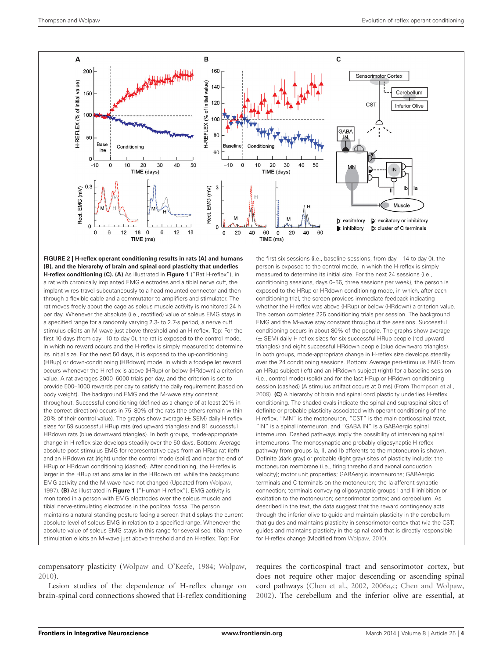

<span id="page-3-0"></span>**FIGURE 2 | H-reflex operant conditioning results in rats (A) and humans (B), and the hierarchy of brain and spinal cord plasticity that underlies H-reflex conditioning (C). (A)** As illustrated in **[Figure 1](#page-1-0)** ("Rat H-reflex"), in a rat with chronically implanted EMG electrodes and a tibial nerve cuff, the implant wires travel subcutaneously to a head-mounted connector and then through a flexible cable and a commutator to amplifiers and stimulator. The rat moves freely about the cage as soleus muscle activity is monitored 24 h per day. Whenever the absolute (i.e., rectified) value of soleus EMG stays in a specified range for a randomly varying 2.3- to 2.7-s period, a nerve cuff stimulus elicits an M-wave just above threshold and an H-reflex. Top: For the first 10 days (from day –10 to day 0), the rat is exposed to the control mode, in which no reward occurs and the H-reflex is simply measured to determine its initial size. For the next 50 days, it is exposed to the up-conditioning (HRup) or down-conditioning (HRdown) mode, in which a food-pellet reward occurs whenever the H-reflex is above (HRup) or below (HRdown) a criterion value. A rat averages 2000–6000 trials per day, and the criterion is set to provide 500–1000 rewards per day to satisfy the daily requirement (based on body weight). The background EMG and the M-wave stay constant throughout. Successful conditioning (defined as a change of at least 20% in the correct direction) occurs in 75–80% of the rats (the others remain within 20% of their control value). The graphs show average  $(\pm$  SEM) daily H-reflex sizes for 59 successful HRup rats (red upward triangles) and 81 successful HRdown rats (blue downward triangles). In both groups, mode-appropriate change in H-reflex size develops steadily over the 50 days. Bottom: Average absolute post-stimulus EMG for representative days from an HRup rat (left) and an HRdown rat (right) under the control mode (solid) and near the end of HRup or HRdown conditioning (dashed). After conditioning, the H-reflex is larger in the HRup rat and smaller in the HRdown rat, while the background EMG activity and the M-wave have not changed (Updated from [Wolpaw,](#page-7-14) [1997\)](#page-7-14). **(B)** As illustrated in **[Figure 1](#page-1-0)** ("Human H-reflex"), EMG activity is monitored in a person with EMG electrodes over the soleus muscle and tibial nerve-stimulating electrodes in the popliteal fossa. The person maintains a natural standing posture facing a screen that displays the current absolute level of soleus EMG in relation to a specified range. Whenever the absolute value of soleus EMG stays in this range for several sec, tibial nerve stimulation elicits an M-wave just above threshold and an H-reflex. Top: For

the first six sessions (i.e., baseline sessions, from day −14 to day 0), the person is exposed to the control mode, in which the H-reflex is simply measured to determine its initial size. For the next 24 sessions (i.e., conditioning sessions, days 0–56, three sessions per week), the person is exposed to the HRup or HRdown conditioning mode, in which, after each conditioning trial, the screen provides immediate feedback indicating whether the H-reflex was above (HRup) or below (HRdown) a criterion value. The person completes 225 conditioning trials per session. The background EMG and the M-wave stay constant throughout the sessions. Successful conditioning occurs in about 80% of the people. The graphs show average (± SEM) daily H-reflex sizes for six successful HRup people (red upward triangles) and eight successful HRdown people (blue downward triangles). In both groups, mode-appropriate change in H-reflex size develops steadily over the 24 conditioning sessions. Bottom: Average peri-stimulus EMG from an HRup subject (left) and an HRdown subject (right) for a baseline session (i.e., control mode) (solid) and for the last HRup or HRdown conditioning session (dashed) (A stimulus artifact occurs at 0 ms) (From [Thompson et al.,](#page-6-25) [2009\)](#page-6-25). **(C)** A hierarchy of brain and spinal cord plasticity underlies H-reflex conditioning. The shaded ovals indicate the spinal and supraspinal sites of definite or probable plasticity associated with operant conditioning of the H-reflex. "MN" is the motoneuron, "CST" is the main corticospinal tract, "IN" is a spinal interneuron, and "GABA IN" is a GABAergic spinal interneuron. Dashed pathways imply the possibility of intervening spinal interneurons. The monosynaptic and probably oligosynaptic H-reflex pathway from groups Ia, II, and Ib afferents to the motoneuron is shown. Definite (dark gray) or probable (light gray) sites of plasticity include: the motoneuron membrane (i.e., firing threshold and axonal conduction velocity); motor unit properties; GABAergic interneurons; GABAergic terminals and C terminals on the motoneuron; the Ia afferent synaptic connection; terminals conveying oligosynaptic groups I and II inhibition or excitation to the motoneuron; sensorimotor cortex; and cerebellum. As described in the text, the data suggest that the reward contingency acts through the inferior olive to guide and maintain plasticity in the cerebellum that guides and maintains plasticity in sensorimotor cortex that (via the CST) guides and maintains plasticity in the spinal cord that is directly responsible for H-reflex change (Modified from [Wolpaw,](#page-7-3) [2010\)](#page-7-3).

compensatory plasticity [\(Wolpaw and O'Keefe,](#page-7-10) [1984;](#page-7-10) [Wolpaw,](#page-7-3) [2010\)](#page-7-3).

Lesion studies of the dependence of H-reflex change on brain-spinal cord connections showed that H-reflex conditioning requires the corticospinal tract and sensorimotor cortex, but does not require other major descending or ascending spinal cord pathways [\(Chen et al.,](#page-5-12) [2002,](#page-5-12) [2006a](#page-5-13)[,c;](#page-5-14) [Chen and Wolpaw,](#page-5-15) [2002\)](#page-5-15). The cerebellum and the inferior olive are essential, at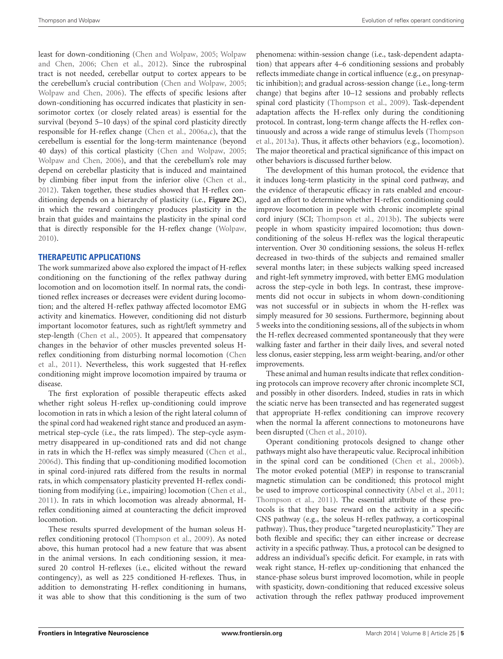least for down-conditioning [\(Chen and Wolpaw,](#page-5-16) [2005;](#page-5-16) [Wolpaw](#page-7-15) [and Chen,](#page-7-15) [2006;](#page-7-15) [Chen et al.,](#page-5-17) [2012\)](#page-5-17). Since the rubrospinal tract is not needed, cerebellar output to cortex appears to be the cerebellum's crucial contribution [\(Chen and Wolpaw,](#page-5-16) [2005;](#page-5-16) [Wolpaw and Chen,](#page-7-15) [2006\)](#page-7-15). The effects of specific lesions after down-conditioning has occurred indicates that plasticity in sensorimotor cortex (or closely related areas) is essential for the survival (beyond 5–10 days) of the spinal cord plasticity directly responsible for H-reflex change [\(Chen et al.,](#page-5-13) [2006a,](#page-5-13)[c\)](#page-5-14), that the cerebellum is essential for the long-term maintenance (beyond 40 days) of this cortical plasticity [\(Chen and Wolpaw,](#page-5-16) [2005;](#page-5-16) [Wolpaw and Chen,](#page-7-15) [2006\)](#page-7-15), and that the cerebellum's role may depend on cerebellar plasticity that is induced and maintained by climbing fiber input from the inferior olive [\(Chen et al.,](#page-5-17) [2012\)](#page-5-17). Taken together, these studies showed that H-reflex conditioning depends on a hierarchy of plasticity (i.e., **[Figure 2C](#page-3-0)**), in which the reward contingency produces plasticity in the brain that guides and maintains the plasticity in the spinal cord that is directly responsible for the H-reflex change [\(Wolpaw,](#page-7-3) [2010\)](#page-7-3).

## **THERAPEUTIC APPLICATIONS**

The work summarized above also explored the impact of H-reflex conditioning on the functioning of the reflex pathway during locomotion and on locomotion itself. In normal rats, the conditioned reflex increases or decreases were evident during locomotion; and the altered H-reflex pathway affected locomotor EMG activity and kinematics. However, conditioning did not disturb important locomotor features, such as right/left symmetry and step-length [\(Chen et al.,](#page-6-36) [2005\)](#page-6-36). It appeared that compensatory changes in the behavior of other muscles prevented soleus Hreflex conditioning from disturbing normal locomotion [\(Chen](#page-5-18) [et al.,](#page-5-18) [2011\)](#page-5-18). Nevertheless, this work suggested that H-reflex conditioning might improve locomotion impaired by trauma or disease.

The first exploration of possible therapeutic effects asked whether right soleus H-reflex up-conditioning could improve locomotion in rats in which a lesion of the right lateral column of the spinal cord had weakened right stance and produced an asymmetrical step-cycle (i.e., the rats limped). The step-cycle asymmetry disappeared in up-conditioned rats and did not change in rats in which the H-reflex was simply measured [\(Chen et al.,](#page-5-5) [2006d\)](#page-5-5). This finding that up-conditioning modified locomotion in spinal cord-injured rats differed from the results in normal rats, in which compensatory plasticity prevented H-reflex conditioning from modifying (i.e., impairing) locomotion [\(Chen et al.,](#page-5-18) [2011\)](#page-5-18). In rats in which locomotion was already abnormal, Hreflex conditioning aimed at counteracting the deficit improved locomotion.

These results spurred development of the human soleus Hreflex conditioning protocol [\(Thompson et al.,](#page-6-25) [2009\)](#page-6-25). As noted above, this human protocol had a new feature that was absent in the animal versions. In each conditioning session, it measured 20 control H-reflexes (i.e., elicited without the reward contingency), as well as 225 conditioned H-reflexes. Thus, in addition to demonstrating H-reflex conditioning in humans, it was able to show that this conditioning is the sum of two

phenomena: within-session change (i.e., task-dependent adaptation) that appears after 4–6 conditioning sessions and probably reflects immediate change in cortical influence (e.g., on presynaptic inhibition); and gradual across-session change (i.e., long-term change) that begins after 10–12 sessions and probably reflects spinal cord plasticity [\(Thompson et al.,](#page-6-25) [2009\)](#page-6-25). Task-dependent adaptation affects the H-reflex only during the conditioning protocol. In contrast, long-term change affects the H-reflex continuously and across a wide range of stimulus levels [\(Thompson](#page-6-37) [et al.,](#page-6-37) [2013a\)](#page-6-37). Thus, it affects other behaviors (e.g., locomotion). The major theoretical and practical significance of this impact on other behaviors is discussed further below.

The development of this human protocol, the evidence that it induces long-term plasticity in the spinal cord pathway, and the evidence of therapeutic efficacy in rats enabled and encouraged an effort to determine whether H-reflex conditioning could improve locomotion in people with chronic incomplete spinal cord injury (SCI; [Thompson et al.,](#page-6-26) [2013b\)](#page-6-26). The subjects were people in whom spasticity impaired locomotion; thus downconditioning of the soleus H-reflex was the logical therapeutic intervention. Over 30 conditioning sessions, the soleus H-reflex decreased in two-thirds of the subjects and remained smaller several months later; in these subjects walking speed increased and right-left symmetry improved, with better EMG modulation across the step-cycle in both legs. In contrast, these improvements did not occur in subjects in whom down-conditioning was not successful or in subjects in whom the H-reflex was simply measured for 30 sessions. Furthermore, beginning about 5 weeks into the conditioning sessions, all of the subjects in whom the H-reflex decreased commented spontaneously that they were walking faster and farther in their daily lives, and several noted less clonus, easier stepping, less arm weight-bearing, and/or other improvements.

These animal and human results indicate that reflex conditioning protocols can improve recovery after chronic incomplete SCI, and possibly in other disorders. Indeed, studies in rats in which the sciatic nerve has been transected and has regenerated suggest that appropriate H-reflex conditioning can improve recovery when the normal Ia afferent connections to motoneurons have been disrupted [\(Chen et al.,](#page-6-38) [2010\)](#page-6-38).

Operant conditioning protocols designed to change other pathways might also have therapeutic value. Reciprocal inhibition in the spinal cord can be conditioned [\(Chen et al.,](#page-5-19) [2006b\)](#page-5-19). The motor evoked potential (MEP) in response to transcranial magnetic stimulation can be conditioned; this protocol might be used to improve corticospinal connectivity [\(Abel et al.,](#page-5-20) [2011;](#page-5-20) [Thompson et al.,](#page-6-39) [2011\)](#page-6-39). The essential attribute of these protocols is that they base reward on the activity in a specific CNS pathway (e.g., the soleus H-reflex pathway, a corticospinal pathway). Thus, they produce "targeted neuroplasticity." They are both flexible and specific; they can either increase or decrease activity in a specific pathway. Thus, a protocol can be designed to address an individual's specific deficit. For example, in rats with weak right stance, H-reflex up-conditioning that enhanced the stance-phase soleus burst improved locomotion, while in people with spasticity, down-conditioning that reduced excessive soleus activation through the reflex pathway produced improvement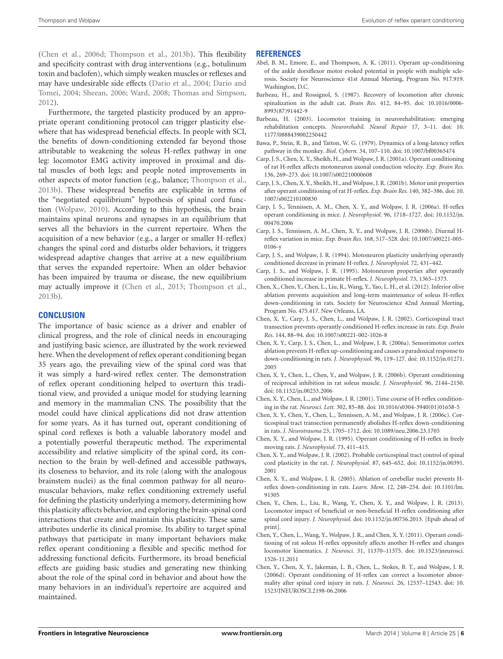[\(Chen et al.,](#page-5-5) [2006d;](#page-5-5) [Thompson et al.,](#page-6-26) [2013b\)](#page-6-26). This flexibility and specificity contrast with drug interventions (e.g., botulinum toxin and baclofen), which simply weaken muscles or reflexes and may have undesirable side effects [\(Dario et al.,](#page-6-40) [2004;](#page-6-40) [Dario and](#page-6-41) [Tomei,](#page-6-41) [2004;](#page-6-41) [Sheean,](#page-6-42) [2006;](#page-6-42) [Ward,](#page-6-43) [2008;](#page-6-43) [Thomas and Simpson,](#page-6-44) [2012\)](#page-6-44).

Furthermore, the targeted plasticity produced by an appropriate operant conditioning protocol can trigger plasticity elsewhere that has widespread beneficial effects. In people with SCI, the benefits of down-conditioning extended far beyond those attributable to weakening the soleus H-reflex pathway in one leg: locomotor EMG activity improved in proximal and distal muscles of both legs; and people noted improvements in other aspects of motor function (e.g., balance; [Thompson et al.,](#page-6-26) [2013b\)](#page-6-26). These widespread benefits are explicable in terms of the "negotiated equilibrium" hypothesis of spinal cord function [\(Wolpaw,](#page-7-3) [2010\)](#page-7-3). According to this hypothesis, the brain maintains spinal neurons and synapses in an equilibrium that serves all the behaviors in the current repertoire. When the acquisition of a new behavior (e.g., a larger or smaller H-reflex) changes the spinal cord and disturbs older behaviors, it triggers widespread adaptive changes that arrive at a new equilibrium that serves the expanded repertoire. When an older behavior has been impaired by trauma or disease, the new equilibrium may actually improve it [\(Chen et al.,](#page-5-21) [2013;](#page-5-21) [Thompson et al.,](#page-6-26) [2013b\)](#page-6-26).

## **CONCLUSION**

The importance of basic science as a driver and enabler of clinical progress, and the role of clinical needs in encouraging and justifying basic science, are illustrated by the work reviewed here. When the development of reflex operant conditioning began 35 years ago, the prevailing view of the spinal cord was that it was simply a hard-wired reflex center. The demonstration of reflex operant conditioning helped to overturn this traditional view, and provided a unique model for studying learning and memory in the mammalian CNS. The possibility that the model could have clinical applications did not draw attention for some years. As it has turned out, operant conditioning of spinal cord reflexes is both a valuable laboratory model and a potentially powerful therapeutic method. The experimental accessibility and relative simplicity of the spinal cord, its connection to the brain by well-defined and accessible pathways, its closeness to behavior, and its role (along with the analogous brainstem nuclei) as the final common pathway for all neuromuscular behaviors, make reflex conditioning extremely useful for defining the plasticity underlying a memory, determining how this plasticity affects behavior, and exploring the brain-spinal cord interactions that create and maintain this plasticity. These same attributes underlie its clinical promise. Its ability to target spinal pathways that participate in many important behaviors make reflex operant conditioning a flexible and specific method for addressing functional deficits. Furthermore, its broad beneficial effects are guiding basic studies and generating new thinking about the role of the spinal cord in behavior and about how the many behaviors in an individual's repertoire are acquired and maintained.

#### **REFERENCES**

- <span id="page-5-20"></span>Abel, B. M., Emore, E., and Thompson, A. K. (2011). Operant up-conditioning of the ankle dorsiflexor motor evoked potential in people with multiple sclerosis. Society for Neuroscience 41st Annual Meeting, Program No. 917.919. Washington, D.C.
- <span id="page-5-0"></span>Barbeau, H., and Rossignol, S. (1987). Recovery of locomotion after chronic spinalization in the adult cat. *Brain Res.* 412, 84–95. doi: 10.1016/0006- 8993(87)91442-9
- <span id="page-5-1"></span>Barbeau, H. (2003). Locomotor training in neurorehabilitation: emerging rehabilitation concepts. *Neurorehabil. Neural Repair* 17, 3–11. doi: 10. 1177/0888439002250442
- <span id="page-5-2"></span>Bawa, P., Stein, R. B., and Tatton, W. G. (1979). Dynamics of a long-latency reflex pathway in the monkey. *Biol. Cybern.* 34, 107–110. doi: 10.1007/bf00365474
- <span id="page-5-9"></span>Carp, J. S., Chen, X. Y., Sheikh, H., and Wolpaw, J. R. (2001a). Operant conditioning of rat H-reflex affects motoneuron axonal conduction velocity. *Exp. Brain Res.* 136, 269–273. doi: 10.1007/s002210000608
- <span id="page-5-10"></span>Carp, J. S., Chen, X. Y., Sheikh, H., and Wolpaw, J. R. (2001b). Motor unit properties after operant conditioning of rat H-reflex. *Exp. Brain Res.* 140, 382–386. doi: 10. 1007/s002210100830
- <span id="page-5-4"></span>Carp, J. S., Tennissen, A. M., Chen, X. Y., and Wolpaw, J. R. (2006a). H-reflex operant conditioning in mice. *J. Neurophysiol.* 96, 1718–1727. doi: 10.1152/jn. 00470.2006
- <span id="page-5-6"></span>Carp, J. S., Tennissen, A. M., Chen, X. Y., and Wolpaw, J. R. (2006b). Diurnal Hreflex variation in mice. *Exp. Brain Res.* 168, 517–528. doi: 10.1007/s00221-005- 0106-y
- <span id="page-5-8"></span>Carp, J. S., and Wolpaw, J. R. (1994). Motoneuron plasticity underlying operantly conditioned decrease in primate H-reflex. *J. Neurophysiol.* 72, 431–442.
- <span id="page-5-11"></span>Carp, J. S., and Wolpaw, J. R. (1995). Motoneuron properties after operantly conditioned increase in primate H-reflex. *J. Neurophysiol.* 73, 1365–1373.
- <span id="page-5-17"></span>Chen, X., Chen, Y., Chen, L., Liu, R., Wang, Y., Yao, L. H., et al. (2012). Inferior olive ablation prevents acquisition and long-term maintenance of soleus H-reflex down-conditioning in rats. Society for Neuroscience 42nd Annual Meeting, Program No. 475.417. New Orleans, LA.
- <span id="page-5-12"></span>Chen, X. Y., Carp, J. S., Chen, L., and Wolpaw, J. R. (2002). Corticospinal tract transection prevents operantly conditioned H-reflex increase in rats. *Exp. Brain Res.* 144, 88–94. doi: 10.1007/s00221-002-1026-8
- <span id="page-5-13"></span>Chen, X. Y., Carp, J. S., Chen, L., and Wolpaw, J. R. (2006a). Sensorimotor cortex ablation prevents H-reflex up-conditioning and causes a paradoxical response to down-conditioning in rats. *J. Neurophysiol.* 96, 119–127. doi: 10.1152/jn.01271. 2005
- <span id="page-5-19"></span>Chen, X. Y., Chen, L., Chen, Y., and Wolpaw, J. R. (2006b). Operant conditioning of reciprocal inhibition in rat soleus muscle. *J. Neurophysiol.* 96, 2144–2150. doi: 10.1152/jn.00253.2006
- <span id="page-5-7"></span>Chen, X. Y., Chen, L., and Wolpaw, J. R. (2001). Time course of H-reflex conditioning in the rat. *Neurosci. Lett.* 302, 85–88. doi: 10.1016/s0304-3940(01)01658-5
- <span id="page-5-14"></span>Chen, X. Y., Chen, Y., Chen, L., Tennissen, A. M., and Wolpaw, J. R. (2006c). Corticospinal tract transection permanently abolishes H-reflex down-conditioning in rats. *J. Neurotrauma* 23, 1705–1712. doi: 10.1089/neu.2006.23.1705
- <span id="page-5-3"></span>Chen, X. Y., and Wolpaw, J. R. (1995). Operant conditioning of H-reflex in freely moving rats. *J. Neurophysiol.* 73, 411–415.
- <span id="page-5-15"></span>Chen, X. Y., and Wolpaw, J. R. (2002). Probable corticospinal tract control of spinal cord plasticity in the rat. *J. Neurophysiol.* 87, 645–652. doi: 10.1152/jn.00391. 2001
- <span id="page-5-16"></span>Chen, X. Y., and Wolpaw, J. R. (2005). Ablation of cerebellar nuclei prevents Hreflex down-conditioning in rats. *Learn. Mem.* 12, 248–254. doi: 10.1101/lm. 91305
- <span id="page-5-21"></span>Chen, Y., Chen, L., Liu, R., Wang, Y., Chen, X. Y., and Wolpaw, J. R. (2013). Locomotor impact of beneficial or non-beneficial H-reflex conditioning after spinal cord injury. *J. Neurophysiol.* doi: 10.1152/jn.00756.2013. [Epub ahead of print].
- <span id="page-5-18"></span>Chen, Y., Chen, L., Wang, Y., Wolpaw, J. R., and Chen, X. Y. (2011). Operant conditioning of rat soleus H-reflex oppositely affects another H-reflex and changes locomotor kinematics. *J. Neurosci.* 31, 11370–11375. doi: 10.1523/jneurosci. 1526-11.2011
- <span id="page-5-5"></span>Chen, Y., Chen, X. Y., Jakeman, L. B., Chen, L., Stokes, B. T., and Wolpaw, J. R. (2006d). Operant conditioning of H-reflex can correct a locomotor abnormality after spinal cord injury in rats. *J. Neurosci.* 26, 12537–12543. doi: 10. 1523/JNEUROSCI.2198-06.2006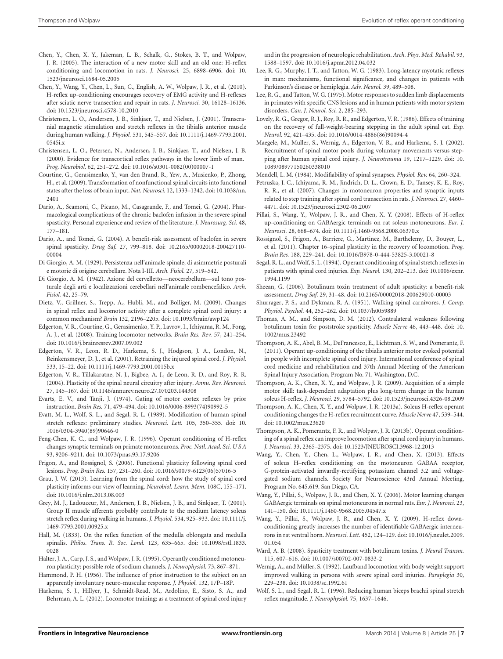- <span id="page-6-36"></span>Chen, Y., Chen, X. Y., Jakeman, L. B., Schalk, G., Stokes, B. T., and Wolpaw, J. R. (2005). The interaction of a new motor skill and an old one: H-reflex conditioning and locomotion in rats. *J. Neurosci.* 25, 6898–6906. doi: 10. 1523/jneurosci.1684-05.2005
- <span id="page-6-38"></span>Chen, Y., Wang, Y., Chen, L., Sun, C., English, A. W., Wolpaw, J. R., et al. (2010). H-reflex up-conditioning encourages recovery of EMG activity and H-reflexes after sciatic nerve transection and repair in rats. *J. Neurosci.* 30, 16128–16136. doi: 10.1523/jneurosci.4578-10.2010
- <span id="page-6-22"></span>Christensen, L. O., Andersen, J. B., Sinkjaer, T., and Nielsen, J. (2001). Transcranial magnetic stimulation and stretch reflexes in the tibialis anterior muscle during human walking. *J. Physiol.* 531, 545–557. doi: 10.1111/j.1469-7793.2001. 0545i.x
- <span id="page-6-21"></span>Christensen, L. O., Petersen, N., Andersen, J. B., Sinkjaer, T., and Nielsen, J. B. (2000). Evidence for transcortical reflex pathways in the lower limb of man. *Prog. Neurobiol.* 62, 251–272. doi: 10.1016/s0301-0082(00)00007-1
- <span id="page-6-12"></span>Courtine, G., Gerasimenko, Y., van den Brand, R., Yew, A., Musienko, P., Zhong, H., et al. (2009). Transformation of nonfunctional spinal circuits into functional states after the loss of brain input. *Nat. Neurosci.* 12, 1333–1342. doi: 10.1038/nn. 2401
- <span id="page-6-40"></span>Dario, A., Scamoni, C., Picano, M., Casagrande, F., and Tomei, G. (2004). Pharmacological complications of the chronic baclofen infusion in the severe spinal spasticity. Personal experience and review of the literature. *J. Neurosurg. Sci.* 48, 177–181.
- <span id="page-6-41"></span>Dario, A., and Tomei, G. (2004). A benefit-risk assessment of baclofen in severe spinal spasticity. *Drug Saf.* 27, 799–818. doi: 10.2165/00002018-200427110- 00004
- <span id="page-6-16"></span>Di Giorgio, A. M. (1929). Persistenza nell'animale spinale, di asimmetrie posturali e motorie di origine cerebellare. Nota I-III. *Arch. Fisiol.* 27, 519–542.
- <span id="page-6-17"></span>Di Giorgio, A. M. (1942). Azione del cervelletto—neocerebellum—sul tono posturale degli arti e localizzazioni cerebellari nell'animale rombencefalico. *Arch. Fisiol.* 42, 25–79.
- <span id="page-6-13"></span>Dietz, V., Grillner, S., Trepp, A., Hubli, M., and Bolliger, M. (2009). Changes in spinal reflex and locomotor activity after a complete spinal cord injury: a common mechanism? *Brain* 132, 2196–2205. doi: 10.1093/brain/awp124
- <span id="page-6-4"></span>Edgerton, V. R., Courtine, G., Gerasimenko, Y. P., Lavrov, I., Ichiyama, R. M., Fong, A. J., et al. (2008). Training locomotor networks. *Brain Res. Rev.* 57, 241–254. doi: 10.1016/j.brainresrev.2007.09.002
- <span id="page-6-3"></span>Edgerton, V. R., Leon, R. D., Harkema, S. J., Hodgson, J. A., London, N., Reinkensmeyer, D. J., et al. (2001). Retraining the injured spinal cord. *J. Physiol.* 533, 15–22. doi: 10.1111/j.1469-7793.2001.0015b.x
- <span id="page-6-9"></span>Edgerton, V. R., Tillakaratne, N. J., Bigbee, A. J., de Leon, R. D., and Roy, R. R. (2004). Plasticity of the spinal neural circuitry after injury. *Annu. Rev. Neurosci.* 27, 145–167. doi: 10.1146/annurev.neuro.27.070203.144308
- <span id="page-6-24"></span>Evarts, E. V., and Tanji, J. (1974). Gating of motor cortex reflexes by prior instruction. *Brain Res.* 71, 479–494. doi: 10.1016/0006-8993(74)90992-5
- <span id="page-6-27"></span>Evatt, M. L., Wolf, S. L., and Segal, R. L. (1989). Modification of human spinal stretch reflexes: preliminary studies. *Neurosci. Lett.* 105, 350–355. doi: 10. 1016/0304-3940(89)90646-0
- <span id="page-6-32"></span>Feng-Chen, K. C., and Wolpaw, J. R. (1996). Operant conditioning of H-reflex changes synaptic terminals on primate motoneurons. *Proc. Natl. Acad. Sci. U S A* 93, 9206–9211. doi: 10.1073/pnas.93.17.9206
- <span id="page-6-10"></span>Frigon, A., and Rossignol, S. (2006). Functional plasticity following spinal cord lesions. *Prog. Brain Res.* 157, 231–260. doi: 10.1016/s0079-6123(06)57016-5
- <span id="page-6-15"></span>Grau, J. W. (2013). Learning from the spinal cord: how the study of spinal cord plasticity informs our view of learning. *Neurobiol. Learn. Mem.* 108C, 155–171. doi: 10.1016/j.nlm.2013.08.003
- <span id="page-6-23"></span>Grey, M. J., Ladouceur, M., Andersen, J. B., Nielsen, J. B., and Sinkjaer, T. (2001). Group II muscle afferents probably contribute to the medium latency soleus stretch reflex during walking in humans. *J. Physiol.* 534, 925–933. doi: 10.1111/j. 1469-7793.2001.00925.x
- <span id="page-6-7"></span>Hall, M. (1833). On the reflex function of the medulla oblongata and medulla spinalis. *Philos. Trans. R. Soc. Lond.* 123, 635–665. doi: 10.1098/rstl.1833. 0028
- <span id="page-6-30"></span>Halter, J. A., Carp, J. S., and Wolpaw, J. R. (1995). Operantly conditioned motoneuron plasticity: possible role of sodium channels. *J. Neurophysiol.* 73, 867–871.
- <span id="page-6-18"></span>Hammond, P. H. (1956). The influence of prior instruction to the subject on an apparently involuntary neuro-muscular response. *J. Physiol.* 132, 17P–18P.
- <span id="page-6-6"></span>Harkema, S. J., Hillyer, J., Schmidt-Read, M., Ardolino, E., Sisto, S. A., and Behrman, A. L. (2012). Locomotor training: as a treatment of spinal cord injury

and in the progression of neurologic rehabilitation. *Arch. Phys. Med. Rehabil.* 93, 1588–1597. doi: 10.1016/j.apmr.2012.04.032

- <span id="page-6-20"></span>Lee, R. G., Murphy, J. T., and Tatton, W. G. (1983). Long-latency myotatic reflexes in man: mechanisms, functional significance, and changes in patients with Parkinson's disease or hemiplegia. *Adv. Neurol.* 39, 489–508.
- <span id="page-6-19"></span>Lee, R. G., and Tatton, W. G. (1975). Motor responses to sudden limb displacements in primates with specific CNS lesions and in human patients with motor system disorders. *Can. J. Neurol. Sci.* 2, 285–293.
- <span id="page-6-1"></span>Lovely, R. G., Gregor, R. J., Roy, R. R., and Edgerton, V. R. (1986). Effects of training on the recovery of full-weight-bearing stepping in the adult spinal cat. *Exp. Neurol.* 92, 421–435. doi: 10.1016/0014-4886(86)90094-4
- <span id="page-6-5"></span>Maegele, M., Muller, S., Wernig, A., Edgerton, V. R., and Harkema, S. J. (2002). Recruitment of spinal motor pools during voluntary movements versus stepping after human spinal cord injury. *J. Neurotrauma* 19, 1217–1229. doi: 10. 1089/08977150260338010

<span id="page-6-8"></span>Mendell, L. M. (1984). Modifiability of spinal synapses. *Physiol. Rev.* 64, 260–324.

- <span id="page-6-11"></span>Petruska, J. C., Ichiyama, R. M., Jindrich, D. L., Crown, E. D., Tansey, K. E., Roy, R. R., et al. (2007). Changes in motoneuron properties and synaptic inputs related to step training after spinal cord transection in rats. *J. Neurosci.* 27, 4460– 4471. doi: 10.1523/jneurosci.2302-06.2007
- <span id="page-6-34"></span>Pillai, S., Wang, Y., Wolpaw, J. R., and Chen, X. Y. (2008). Effects of H-reflex up-conditioning on GABAergic terminals on rat soleus motoneurons. *Eur. J. Neurosci.* 28, 668–674. doi: 10.1111/j.1460-9568.2008.06370.x
- <span id="page-6-14"></span>Rossignol, S., Frigon, A., Barriere, G., Martinez, M., Barthelemy, D., Bouyer, L., et al. (2011). Chapter 16–spinal plasticity in the recovery of locomotion. *Prog. Brain Res.* 188, 229–241. doi: 10.1016/B978-0-444-53825-3.00021-8
- <span id="page-6-28"></span>Segal, R. L., and Wolf, S. L. (1994). Operant conditioning of spinal stretch reflexes in patients with spinal cord injuries. *Exp. Neurol.* 130, 202–213. doi: 10.1006/exnr. 1994.1199
- <span id="page-6-42"></span>Sheean, G. (2006). Botulinum toxin treatment of adult spasticity: a benefit-risk assessment. *Drug Saf.* 29, 31–48. doi: 10.2165/00002018-200629010-00003
- <span id="page-6-0"></span>Shurrager, P. S., and Dykman, R. A. (1951). Walking spinal carnivores. *J. Comp. Physiol. Psychol.* 44, 252–262. doi: 10.1037/h0059889
- <span id="page-6-44"></span>Thomas, A. M., and Simpson, D. M. (2012). Contralateral weakness following botulinum toxin for poststroke spasticity. *Muscle Nerve* 46, 443–448. doi: 10. 1002/mus.23492
- <span id="page-6-39"></span>Thompson, A. K., Abel, B. M., DeFrancesco, E., Lichtman, S. W., and Pomerantz, F. (2011). Operant up-conditioning of the tibialis anterior motor evoked potential in people with incomplete spinal cord injury. International conference of spinal cord medicine and rehabilitation and 37th Annual Meeting of the American Spinal Injury Association, Program No. 71. Washington, D.C.
- <span id="page-6-25"></span>Thompson, A. K., Chen, X. Y., and Wolpaw, J. R. (2009). Acquisition of a simple motor skill: task-dependent adaptation plus long-term change in the human soleus H-reflex. *J. Neurosci.* 29, 5784–5792. doi: 10.1523/jneurosci.4326-08.2009
- <span id="page-6-37"></span>Thompson, A. K., Chen, X. Y., and Wolpaw, J. R. (2013a). Soleus H-reflex operant conditioning changes the H-reflex recruitment curve. *Muscle Nerve* 47, 539–544. doi: 10.1002/mus.23620
- <span id="page-6-26"></span>Thompson, A. K., Pomerantz, F. R., and Wolpaw, J. R. (2013b). Operant conditioning of a spinal reflex can improve locomotion after spinal cord injury in humans. *J. Neurosci.* 33, 2365–2375. doi: 10.1523/JNEUROSCI.3968-12.2013
- <span id="page-6-31"></span>Wang, Y., Chen, Y., Chen, L., Wolpaw, J. R., and Chen, X. (2013). Effects of soleus H–reflex conditioning on the motoneuron GABAA receptor, G-protein-activated inwardly-rectifying potassium channel 3.2 and voltagegated sodium channels. Society for Neuroscience 43rd Annual Meeting, Program No. 645.619. San Diego, CA.
- <span id="page-6-33"></span>Wang, Y., Pillai, S., Wolpaw, J. R., and Chen, X. Y. (2006). Motor learning changes GABAergic terminals on spinal motoneurons in normal rats. *Eur. J. Neurosci.* 23, 141–150. doi: 10.1111/j.1460-9568.2005.04547.x
- <span id="page-6-35"></span>Wang, Y., Pillai, S., Wolpaw, J. R., and Chen, X. Y. (2009). H-reflex downconditioning greatly increases the number of identifiable GABAergic interneurons in rat ventral horn. *Neurosci. Lett.* 452, 124–129. doi: 10.1016/j.neulet.2009. 01.054
- <span id="page-6-43"></span>Ward, A. B. (2008). Spasticity treatment with botulinum toxins. *J. Neural Transm.* 115, 607–616. doi: 10.1007/s00702-007-0833-2
- <span id="page-6-2"></span>Wernig, A., and Müller, S. (1992). Laufband locomotion with body weight support improved walking in persons with severe spinal cord injuries. *Paraplegia* 30, 229–238. doi: 10.1038/sc.1992.61
- <span id="page-6-29"></span>Wolf, S. L., and Segal, R. L. (1996). Reducing human biceps brachii spinal stretch reflex magnitude. *J. Neurophysiol.* 75, 1637–1646.